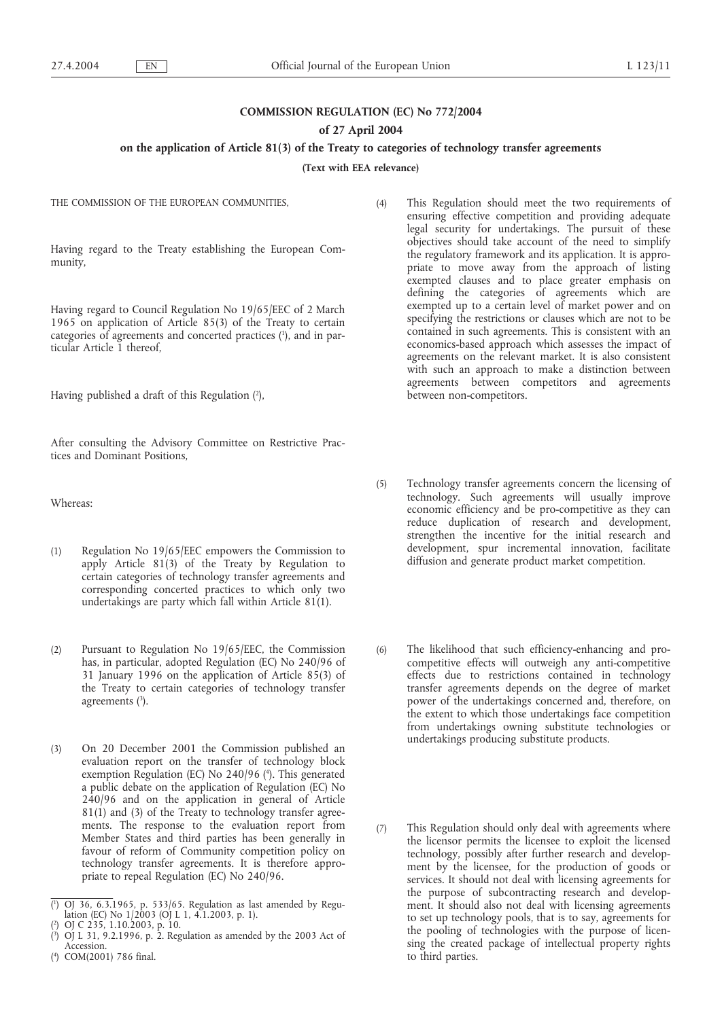# **COMMISSION REGULATION (EC) No 772/2004**

# **of 27 April 2004**

### **on the application of Article 81(3) of the Treaty to categories of technology transfer agreements**

**(Text with EEA relevance)**

THE COMMISSION OF THE EUROPEAN COMMUNITIES,

Having regard to the Treaty establishing the European Community,

Having regard to Council Regulation No 19/65/EEC of 2 March 1965 on application of Article 85(3) of the Treaty to certain categories of agreements and concerted practices (1), and in particular Article 1 thereof,

Having published a draft of this Regulation (2),

After consulting the Advisory Committee on Restrictive Practices and Dominant Positions,

Whereas:

- (1) Regulation No 19/65/EEC empowers the Commission to apply Article 81(3) of the Treaty by Regulation to certain categories of technology transfer agreements and corresponding concerted practices to which only two undertakings are party which fall within Article 81(1).
- (2) Pursuant to Regulation No 19/65/EEC, the Commission has, in particular, adopted Regulation (EC) No 240/96 of 31 January 1996 on the application of Article 85(3) of the Treaty to certain categories of technology transfer agreements (3 ).
- (3) On 20 December 2001 the Commission published an evaluation report on the transfer of technology block exemption Regulation (EC) No 240/96 (<sup>4</sup>). This generated a public debate on the application of Regulation (EC) No 240/96 and on the application in general of Article 81(1) and (3) of the Treaty to technology transfer agreements. The response to the evaluation report from Member States and third parties has been generally in favour of reform of Community competition policy on technology transfer agreements. It is therefore appropriate to repeal Regulation (EC) No 240/96.

- ( 2 ) OJ C 235, 1.10.2003, p. 10.
- ( 3 ) OJ L 31, 9.2.1996, p. 2. Regulation as amended by the 2003 Act of Accession.
- ( 4 ) COM(2001) 786 final.
- (4) This Regulation should meet the two requirements of ensuring effective competition and providing adequate legal security for undertakings. The pursuit of these objectives should take account of the need to simplify the regulatory framework and its application. It is appropriate to move away from the approach of listing exempted clauses and to place greater emphasis on defining the categories of agreements which are exempted up to a certain level of market power and on specifying the restrictions or clauses which are not to be contained in such agreements. This is consistent with an economics-based approach which assesses the impact of agreements on the relevant market. It is also consistent with such an approach to make a distinction between agreements between competitors and agreements between non-competitors.
- (5) Technology transfer agreements concern the licensing of technology. Such agreements will usually improve economic efficiency and be pro-competitive as they can reduce duplication of research and development, strengthen the incentive for the initial research and development, spur incremental innovation, facilitate diffusion and generate product market competition.
- (6) The likelihood that such efficiency-enhancing and procompetitive effects will outweigh any anti-competitive effects due to restrictions contained in technology transfer agreements depends on the degree of market power of the undertakings concerned and, therefore, on the extent to which those undertakings face competition from undertakings owning substitute technologies or undertakings producing substitute products.
- (7) This Regulation should only deal with agreements where the licensor permits the licensee to exploit the licensed technology, possibly after further research and development by the licensee, for the production of goods or services. It should not deal with licensing agreements for the purpose of subcontracting research and development. It should also not deal with licensing agreements to set up technology pools, that is to say, agreements for the pooling of technologies with the purpose of licensing the created package of intellectual property rights to third parties.

<sup>(</sup> 1 ) OJ 36, 6.3.1965, p. 533/65. Regulation as last amended by Regulation (EC) No 1/2003 (OJ L 1, 4.1.2003, p. 1).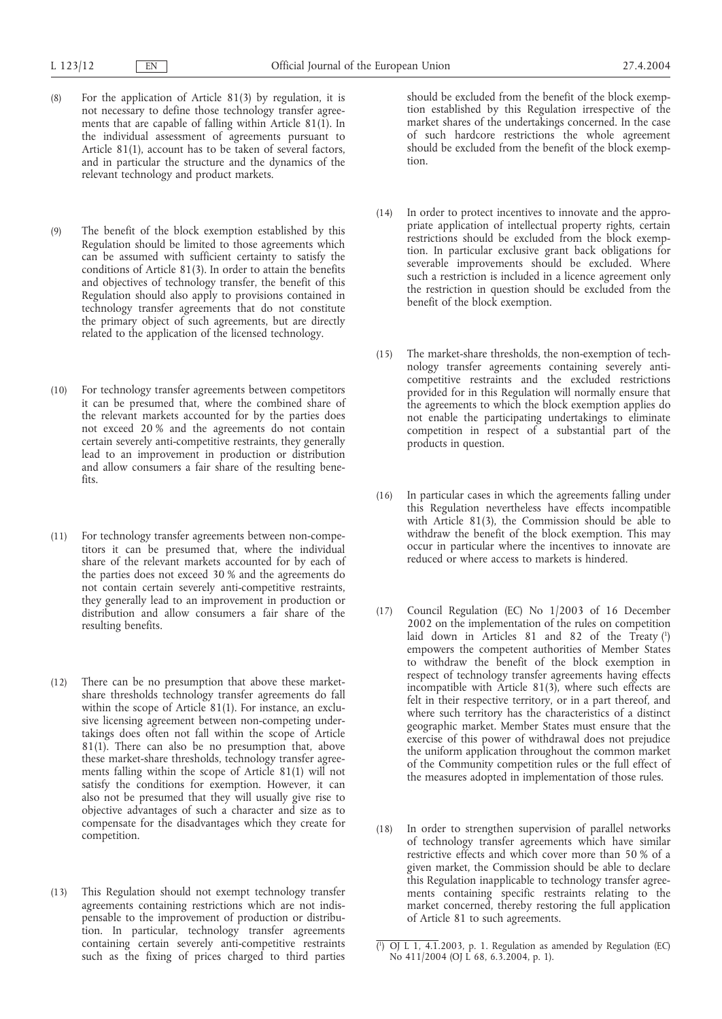- (8) For the application of Article 81(3) by regulation, it is not necessary to define those technology transfer agreements that are capable of falling within Article 81(1). In the individual assessment of agreements pursuant to Article 81(1), account has to be taken of several factors, and in particular the structure and the dynamics of the relevant technology and product markets.
- (9) The benefit of the block exemption established by this Regulation should be limited to those agreements which can be assumed with sufficient certainty to satisfy the conditions of Article 81(3). In order to attain the benefits and objectives of technology transfer, the benefit of this Regulation should also apply to provisions contained in technology transfer agreements that do not constitute the primary object of such agreements, but are directly related to the application of the licensed technology.
- (10) For technology transfer agreements between competitors it can be presumed that, where the combined share of the relevant markets accounted for by the parties does not exceed 20 % and the agreements do not contain certain severely anti-competitive restraints, they generally lead to an improvement in production or distribution and allow consumers a fair share of the resulting benefits.
- (11) For technology transfer agreements between non-competitors it can be presumed that, where the individual share of the relevant markets accounted for by each of the parties does not exceed 30 % and the agreements do not contain certain severely anti-competitive restraints, they generally lead to an improvement in production or distribution and allow consumers a fair share of the resulting benefits.
- (12) There can be no presumption that above these marketshare thresholds technology transfer agreements do fall within the scope of Article 81(1). For instance, an exclusive licensing agreement between non-competing undertakings does often not fall within the scope of Article 81(1). There can also be no presumption that, above these market-share thresholds, technology transfer agreements falling within the scope of Article 81(1) will not satisfy the conditions for exemption. However, it can also not be presumed that they will usually give rise to objective advantages of such a character and size as to compensate for the disadvantages which they create for competition.
- (13) This Regulation should not exempt technology transfer agreements containing restrictions which are not indispensable to the improvement of production or distribution. In particular, technology transfer agreements containing certain severely anti-competitive restraints such as the fixing of prices charged to third parties

should be excluded from the benefit of the block exemption established by this Regulation irrespective of the market shares of the undertakings concerned. In the case of such hardcore restrictions the whole agreement should be excluded from the benefit of the block exemption.

- (14) In order to protect incentives to innovate and the appropriate application of intellectual property rights, certain restrictions should be excluded from the block exemption. In particular exclusive grant back obligations for severable improvements should be excluded. Where such a restriction is included in a licence agreement only the restriction in question should be excluded from the benefit of the block exemption.
- (15) The market-share thresholds, the non-exemption of technology transfer agreements containing severely anticompetitive restraints and the excluded restrictions provided for in this Regulation will normally ensure that the agreements to which the block exemption applies do not enable the participating undertakings to eliminate competition in respect of a substantial part of the products in question.
- (16) In particular cases in which the agreements falling under this Regulation nevertheless have effects incompatible with Article 81(3), the Commission should be able to withdraw the benefit of the block exemption. This may occur in particular where the incentives to innovate are reduced or where access to markets is hindered.
- (17) Council Regulation (EC) No 1/2003 of 16 December 2002 on the implementation of the rules on competition laid down in Articles 81 and 82 of the Treaty (1) empowers the competent authorities of Member States to withdraw the benefit of the block exemption in respect of technology transfer agreements having effects incompatible with Article 81(3), where such effects are felt in their respective territory, or in a part thereof, and where such territory has the characteristics of a distinct geographic market. Member States must ensure that the exercise of this power of withdrawal does not prejudice the uniform application throughout the common market of the Community competition rules or the full effect of the measures adopted in implementation of those rules.
- (18) In order to strengthen supervision of parallel networks of technology transfer agreements which have similar restrictive effects and which cover more than 50 % of a given market, the Commission should be able to declare this Regulation inapplicable to technology transfer agreements containing specific restraints relating to the market concerned, thereby restoring the full application of Article 81 to such agreements.

<sup>(</sup> 1 ) OJ L 1, 4.1.2003, p. 1. Regulation as amended by Regulation (EC) No 411/2004 (OJ L 68, 6.3.2004, p. 1).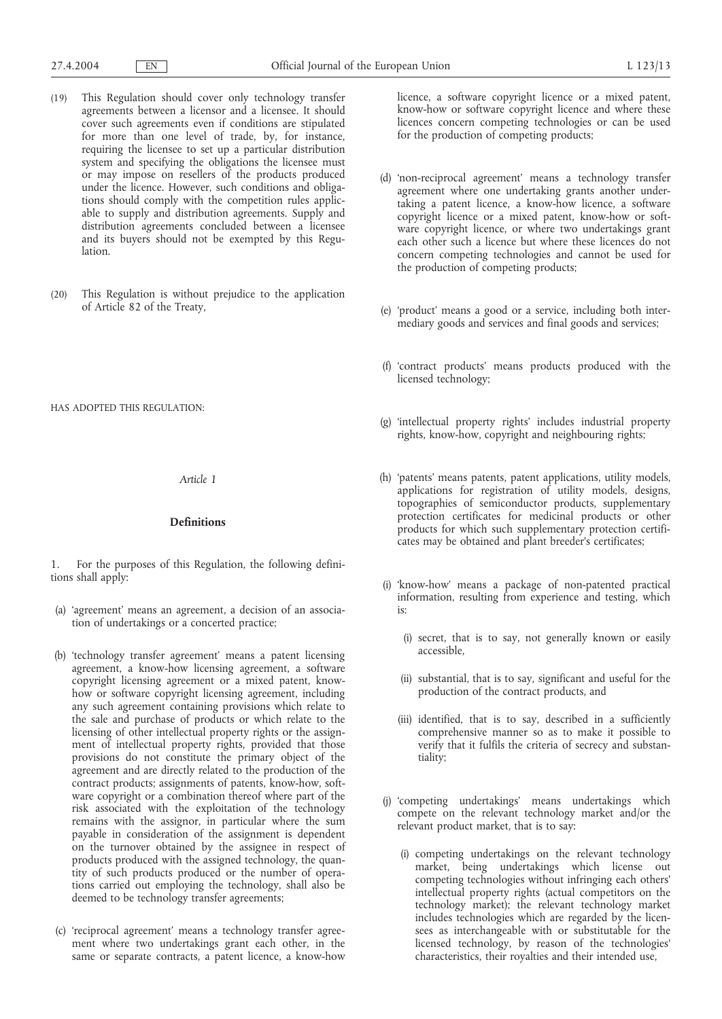- (19) This Regulation should cover only technology transfer agreements between a licensor and a licensee. It should cover such agreements even if conditions are stipulated for more than one level of trade, by, for instance, requiring the licensee to set up a particular distribution system and specifying the obligations the licensee must or may impose on resellers of the products produced under the licence. However, such conditions and obligations should comply with the competition rules applicable to supply and distribution agreements. Supply and distribution agreements concluded between a licensee and its buyers should not be exempted by this Regulation.
- (20) This Regulation is without prejudice to the application of Article 82 of the Treaty,

HAS ADOPTED THIS REGULATION:

*Article 1*

#### **Definitions**

1. For the purposes of this Regulation, the following definitions shall apply:

- (a) 'agreement' means an agreement, a decision of an association of undertakings or a concerted practice;
- (b) 'technology transfer agreement' means a patent licensing agreement, a know-how licensing agreement, a software copyright licensing agreement or a mixed patent, knowhow or software copyright licensing agreement, including any such agreement containing provisions which relate to the sale and purchase of products or which relate to the licensing of other intellectual property rights or the assignment of intellectual property rights, provided that those provisions do not constitute the primary object of the agreement and are directly related to the production of the contract products; assignments of patents, know-how, software copyright or a combination thereof where part of the risk associated with the exploitation of the technology remains with the assignor, in particular where the sum payable in consideration of the assignment is dependent on the turnover obtained by the assignee in respect of products produced with the assigned technology, the quantity of such products produced or the number of operations carried out employing the technology, shall also be deemed to be technology transfer agreements;
- (c) 'reciprocal agreement' means a technology transfer agreement where two undertakings grant each other, in the same or separate contracts, a patent licence, a know-how

licence, a software copyright licence or a mixed patent, know-how or software copyright licence and where these licences concern competing technologies or can be used for the production of competing products;

- (d) 'non-reciprocal agreement' means a technology transfer agreement where one undertaking grants another undertaking a patent licence, a know-how licence, a software copyright licence or a mixed patent, know-how or software copyright licence, or where two undertakings grant each other such a licence but where these licences do not concern competing technologies and cannot be used for the production of competing products;
- (e) 'product' means a good or a service, including both intermediary goods and services and final goods and services;
- (f) 'contract products' means products produced with the licensed technology;
- (g) 'intellectual property rights' includes industrial property rights, know-how, copyright and neighbouring rights;
- (h) 'patents' means patents, patent applications, utility models, applications for registration of utility models, designs, topographies of semiconductor products, supplementary protection certificates for medicinal products or other products for which such supplementary protection certificates may be obtained and plant breeder's certificates;
- (i) 'know-how' means a package of non-patented practical information, resulting from experience and testing, which is:
	- (i) secret, that is to say, not generally known or easily accessible,
	- (ii) substantial, that is to say, significant and useful for the production of the contract products, and
	- (iii) identified, that is to say, described in a sufficiently comprehensive manner so as to make it possible to verify that it fulfils the criteria of secrecy and substantiality;
- (j) 'competing undertakings' means undertakings which compete on the relevant technology market and/or the relevant product market, that is to say:
	- (i) competing undertakings on the relevant technology market, being undertakings which license out competing technologies without infringing each others' intellectual property rights (actual competitors on the technology market); the relevant technology market includes technologies which are regarded by the licensees as interchangeable with or substitutable for the licensed technology, by reason of the technologies' characteristics, their royalties and their intended use,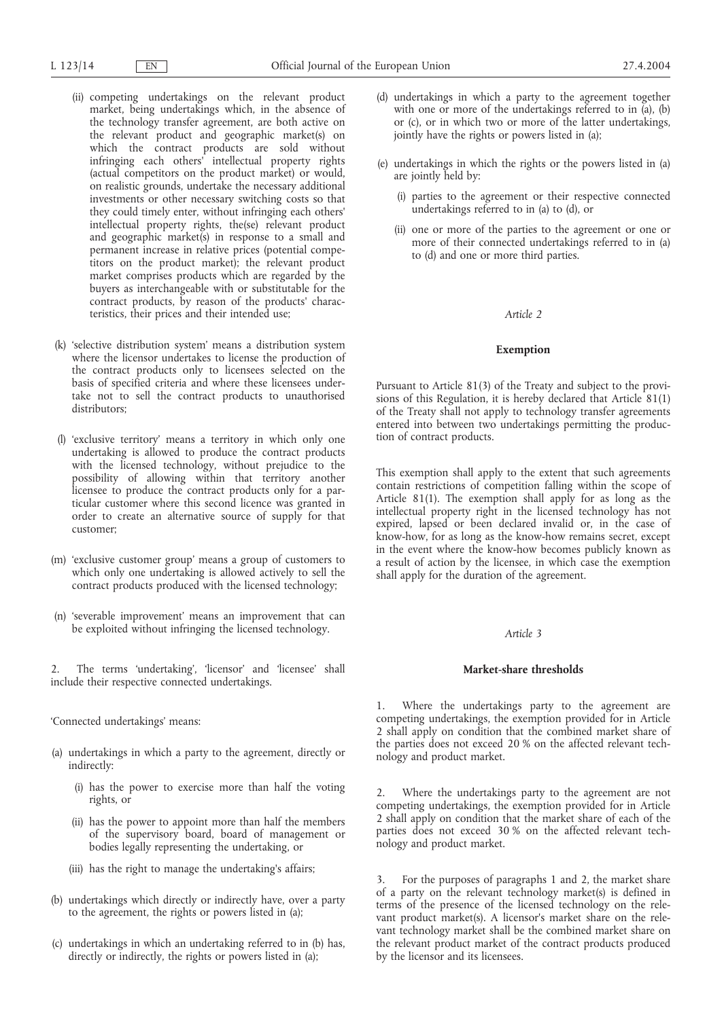- (ii) competing undertakings on the relevant product market, being undertakings which, in the absence of the technology transfer agreement, are both active on the relevant product and geographic market(s) on which the contract products are sold without infringing each others' intellectual property rights (actual competitors on the product market) or would, on realistic grounds, undertake the necessary additional investments or other necessary switching costs so that they could timely enter, without infringing each others' intellectual property rights, the(se) relevant product and geographic market(s) in response to a small and permanent increase in relative prices (potential competitors on the product market); the relevant product market comprises products which are regarded by the buyers as interchangeable with or substitutable for the contract products, by reason of the products' characteristics, their prices and their intended use;
- (k) 'selective distribution system' means a distribution system where the licensor undertakes to license the production of the contract products only to licensees selected on the basis of specified criteria and where these licensees undertake not to sell the contract products to unauthorised distributors;
- (l) 'exclusive territory' means a territory in which only one undertaking is allowed to produce the contract products with the licensed technology, without prejudice to the possibility of allowing within that territory another licensee to produce the contract products only for a particular customer where this second licence was granted in order to create an alternative source of supply for that customer;
- (m) 'exclusive customer group' means a group of customers to which only one undertaking is allowed actively to sell the contract products produced with the licensed technology;
- (n) 'severable improvement' means an improvement that can be exploited without infringing the licensed technology.

2. The terms 'undertaking', 'licensor' and 'licensee' shall include their respective connected undertakings.

'Connected undertakings' means:

- (a) undertakings in which a party to the agreement, directly or indirectly:
	- (i) has the power to exercise more than half the voting rights, or
	- (ii) has the power to appoint more than half the members of the supervisory board, board of management or bodies legally representing the undertaking, or
	- (iii) has the right to manage the undertaking's affairs;
- (b) undertakings which directly or indirectly have, over a party to the agreement, the rights or powers listed in (a);
- (c) undertakings in which an undertaking referred to in (b) has, directly or indirectly, the rights or powers listed in (a);
- (d) undertakings in which a party to the agreement together with one or more of the undertakings referred to in (a), (b) or (c), or in which two or more of the latter undertakings, jointly have the rights or powers listed in (a);
- (e) undertakings in which the rights or the powers listed in (a) are jointly held by:
	- (i) parties to the agreement or their respective connected undertakings referred to in (a) to (d), or
	- (ii) one or more of the parties to the agreement or one or more of their connected undertakings referred to in (a) to (d) and one or more third parties.

#### *Article 2*

## **Exemption**

Pursuant to Article 81(3) of the Treaty and subject to the provisions of this Regulation, it is hereby declared that Article 81(1) of the Treaty shall not apply to technology transfer agreements entered into between two undertakings permitting the production of contract products.

This exemption shall apply to the extent that such agreements contain restrictions of competition falling within the scope of Article 81(1). The exemption shall apply for as long as the intellectual property right in the licensed technology has not expired, lapsed or been declared invalid or, in the case of know-how, for as long as the know-how remains secret, except in the event where the know-how becomes publicly known as a result of action by the licensee, in which case the exemption shall apply for the duration of the agreement.

## *Article 3*

# **Market-share thresholds**

Where the undertakings party to the agreement are competing undertakings, the exemption provided for in Article 2 shall apply on condition that the combined market share of the parties does not exceed 20 % on the affected relevant technology and product market.

2. Where the undertakings party to the agreement are not competing undertakings, the exemption provided for in Article 2 shall apply on condition that the market share of each of the parties does not exceed 30 % on the affected relevant technology and product market.

3. For the purposes of paragraphs 1 and 2, the market share of a party on the relevant technology market(s) is defined in terms of the presence of the licensed technology on the relevant product market(s). A licensor's market share on the relevant technology market shall be the combined market share on the relevant product market of the contract products produced by the licensor and its licensees.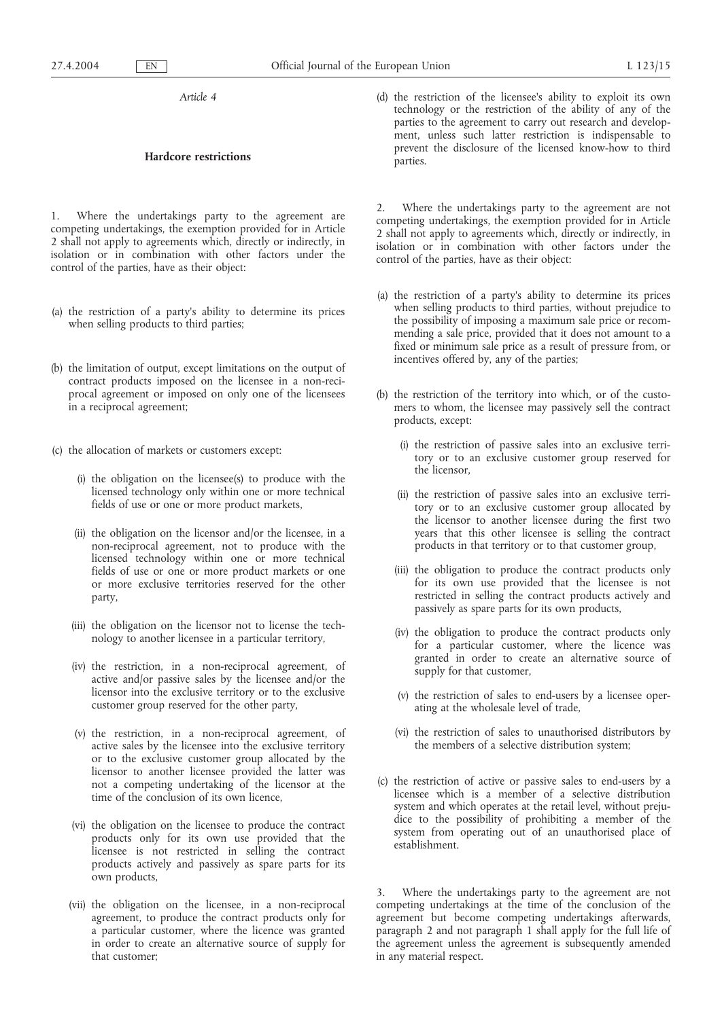*Article 4*

## **Hardcore restrictions**

Where the undertakings party to the agreement are competing undertakings, the exemption provided for in Article 2 shall not apply to agreements which, directly or indirectly, in isolation or in combination with other factors under the control of the parties, have as their object:

- (a) the restriction of a party's ability to determine its prices when selling products to third parties;
- (b) the limitation of output, except limitations on the output of contract products imposed on the licensee in a non-reciprocal agreement or imposed on only one of the licensees in a reciprocal agreement;
- (c) the allocation of markets or customers except:
	- (i) the obligation on the licensee(s) to produce with the licensed technology only within one or more technical fields of use or one or more product markets,
	- (ii) the obligation on the licensor and/or the licensee, in a non-reciprocal agreement, not to produce with the licensed technology within one or more technical fields of use or one or more product markets or one or more exclusive territories reserved for the other party,
	- (iii) the obligation on the licensor not to license the technology to another licensee in a particular territory,
	- (iv) the restriction, in a non-reciprocal agreement, of active and/or passive sales by the licensee and/or the licensor into the exclusive territory or to the exclusive customer group reserved for the other party,
	- (v) the restriction, in a non-reciprocal agreement, of active sales by the licensee into the exclusive territory or to the exclusive customer group allocated by the licensor to another licensee provided the latter was not a competing undertaking of the licensor at the time of the conclusion of its own licence,
	- (vi) the obligation on the licensee to produce the contract products only for its own use provided that the licensee is not restricted in selling the contract products actively and passively as spare parts for its own products,
	- (vii) the obligation on the licensee, in a non-reciprocal agreement, to produce the contract products only for a particular customer, where the licence was granted in order to create an alternative source of supply for that customer;

(d) the restriction of the licensee's ability to exploit its own technology or the restriction of the ability of any of the parties to the agreement to carry out research and development, unless such latter restriction is indispensable to prevent the disclosure of the licensed know-how to third parties.

Where the undertakings party to the agreement are not competing undertakings, the exemption provided for in Article 2 shall not apply to agreements which, directly or indirectly, in isolation or in combination with other factors under the control of the parties, have as their object:

- (a) the restriction of a party's ability to determine its prices when selling products to third parties, without prejudice to the possibility of imposing a maximum sale price or recommending a sale price, provided that it does not amount to a fixed or minimum sale price as a result of pressure from, or incentives offered by, any of the parties;
- (b) the restriction of the territory into which, or of the customers to whom, the licensee may passively sell the contract products, except:
	- (i) the restriction of passive sales into an exclusive territory or to an exclusive customer group reserved for the licensor,
	- (ii) the restriction of passive sales into an exclusive territory or to an exclusive customer group allocated by the licensor to another licensee during the first two years that this other licensee is selling the contract products in that territory or to that customer group,
	- (iii) the obligation to produce the contract products only for its own use provided that the licensee is not restricted in selling the contract products actively and passively as spare parts for its own products,
	- (iv) the obligation to produce the contract products only for a particular customer, where the licence was granted in order to create an alternative source of supply for that customer,
	- (v) the restriction of sales to end-users by a licensee operating at the wholesale level of trade,
	- (vi) the restriction of sales to unauthorised distributors by the members of a selective distribution system;
- (c) the restriction of active or passive sales to end-users by a licensee which is a member of a selective distribution system and which operates at the retail level, without prejudice to the possibility of prohibiting a member of the system from operating out of an unauthorised place of establishment.

Where the undertakings party to the agreement are not competing undertakings at the time of the conclusion of the agreement but become competing undertakings afterwards, paragraph 2 and not paragraph 1 shall apply for the full life of the agreement unless the agreement is subsequently amended in any material respect.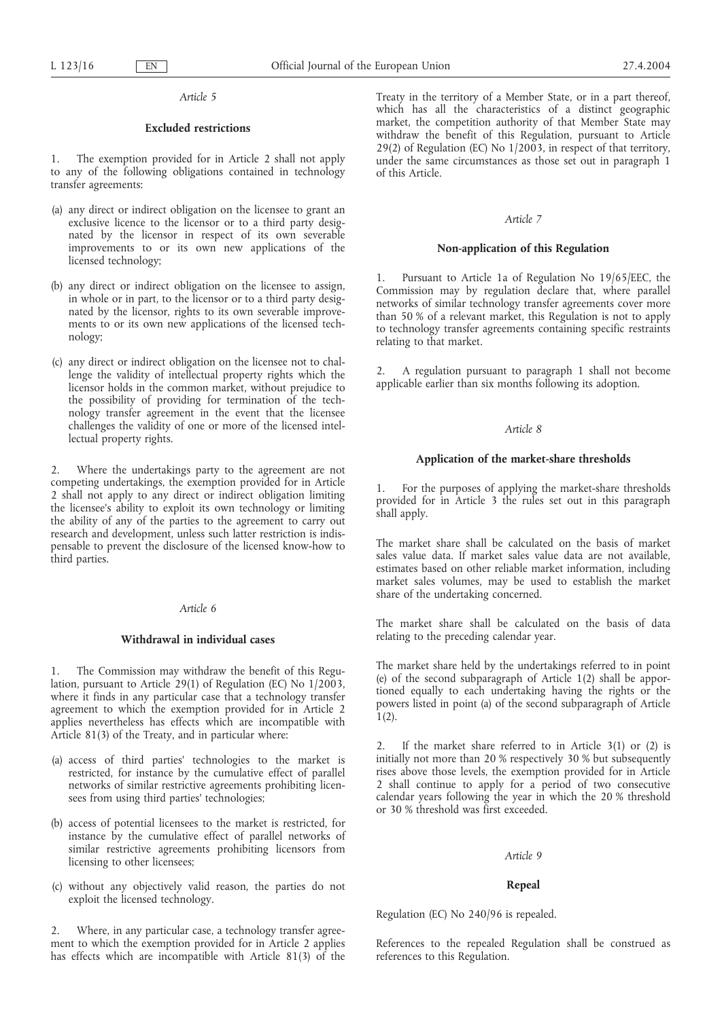*Article 5*

## **Excluded restrictions**

1. The exemption provided for in Article 2 shall not apply to any of the following obligations contained in technology transfer agreements:

- (a) any direct or indirect obligation on the licensee to grant an exclusive licence to the licensor or to a third party designated by the licensor in respect of its own severable improvements to or its own new applications of the licensed technology;
- (b) any direct or indirect obligation on the licensee to assign, in whole or in part, to the licensor or to a third party designated by the licensor, rights to its own severable improvements to or its own new applications of the licensed technology;
- (c) any direct or indirect obligation on the licensee not to challenge the validity of intellectual property rights which the licensor holds in the common market, without prejudice to the possibility of providing for termination of the technology transfer agreement in the event that the licensee challenges the validity of one or more of the licensed intellectual property rights.

2. Where the undertakings party to the agreement are not competing undertakings, the exemption provided for in Article 2 shall not apply to any direct or indirect obligation limiting the licensee's ability to exploit its own technology or limiting the ability of any of the parties to the agreement to carry out research and development, unless such latter restriction is indispensable to prevent the disclosure of the licensed know-how to third parties.

## *Article 6*

#### **Withdrawal in individual cases**

1. The Commission may withdraw the benefit of this Regulation, pursuant to Article 29(1) of Regulation (EC) No 1/2003, where it finds in any particular case that a technology transfer agreement to which the exemption provided for in Article 2 applies nevertheless has effects which are incompatible with Article 81(3) of the Treaty, and in particular where:

- (a) access of third parties' technologies to the market is restricted, for instance by the cumulative effect of parallel networks of similar restrictive agreements prohibiting licensees from using third parties' technologies;
- (b) access of potential licensees to the market is restricted, for instance by the cumulative effect of parallel networks of similar restrictive agreements prohibiting licensors from licensing to other licensees;
- (c) without any objectively valid reason, the parties do not exploit the licensed technology.

2. Where, in any particular case, a technology transfer agreement to which the exemption provided for in Article 2 applies has effects which are incompatible with Article 81(3) of the Treaty in the territory of a Member State, or in a part thereof, which has all the characteristics of a distinct geographic market, the competition authority of that Member State may withdraw the benefit of this Regulation, pursuant to Article 29(2) of Regulation (EC) No 1/2003, in respect of that territory, under the same circumstances as those set out in paragraph 1 of this Article.

#### *Article 7*

### **Non-application of this Regulation**

1. Pursuant to Article 1a of Regulation No 19/65/EEC, the Commission may by regulation declare that, where parallel networks of similar technology transfer agreements cover more than 50 % of a relevant market, this Regulation is not to apply to technology transfer agreements containing specific restraints relating to that market.

2. A regulation pursuant to paragraph 1 shall not become applicable earlier than six months following its adoption.

## *Article 8*

## **Application of the market-share thresholds**

1. For the purposes of applying the market-share thresholds provided for in Article 3 the rules set out in this paragraph shall apply.

The market share shall be calculated on the basis of market sales value data. If market sales value data are not available, estimates based on other reliable market information, including market sales volumes, may be used to establish the market share of the undertaking concerned.

The market share shall be calculated on the basis of data relating to the preceding calendar year.

The market share held by the undertakings referred to in point (e) of the second subparagraph of Article 1(2) shall be apportioned equally to each undertaking having the rights or the powers listed in point (a) of the second subparagraph of Article 1(2).

2. If the market share referred to in Article 3(1) or (2) is initially not more than 20 % respectively 30 % but subsequently rises above those levels, the exemption provided for in Article 2 shall continue to apply for a period of two consecutive calendar years following the year in which the 20 % threshold or 30 % threshold was first exceeded.

## *Article 9*

## **Repeal**

Regulation (EC) No 240/96 is repealed.

References to the repealed Regulation shall be construed as references to this Regulation.